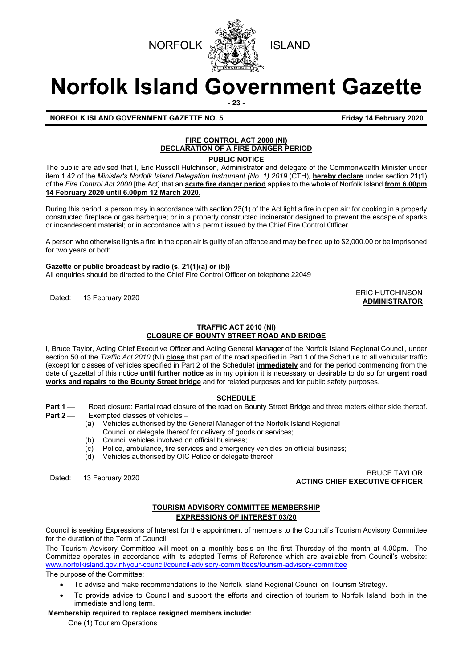



# **Norfolk Island Government Gazette**

**- 23 -**

#### **NORFOLK ISLAND GOVERNMENT GAZETTE NO. 5** *CONSERVERSIVE LATER SERIES SERIES SERIES SERIES SERIES SERIES SERIES SERIES*

### **FIRE CONTROL ACT 2000 (NI) DECLARATION OF A FIRE DANGER PERIOD**

**PUBLIC NOTICE**

The public are advised that I, Eric Russell Hutchinson, Administrator and delegate of the Commonwealth Minister under item 1.42 of the *Minister's Norfolk Island Delegation Instrument (No. 1) 2019* (CTH)*,* **hereby declare** under section 21(1) of the *Fire Control Act 2000* [the Act] that an **acute fire danger period** applies to the whole of Norfolk Island **from 6.00pm 14 February 2020 until 6.00pm 12 March 2020.**

During this period, a person may in accordance with section 23(1) of the Act light a fire in open air: for cooking in a properly constructed fireplace or gas barbeque; or in a properly constructed incinerator designed to prevent the escape of sparks or incandescent material; or in accordance with a permit issued by the Chief Fire Control Officer.

A person who otherwise lights a fire in the open air is guilty of an offence and may be fined up to \$2,000.00 or be imprisoned for two years or both.

#### **Gazette or public broadcast by radio (s. 21(1)(a) or (b))**

All enquiries should be directed to the Chief Fire Control Officer on telephone 22049

ERIC HUTCHINSON<br>
Dated: 13 February 2020

## **TRAFFIC ACT 2010 (NI)**

#### **CLOSURE OF BOUNTY STREET ROAD AND BRIDGE**

I, Bruce Taylor, Acting Chief Executive Officer and Acting General Manager of the Norfolk Island Regional Council, under section 50 of the *Traffic Act 2010* (NI) **close** that part of the road specified in Part 1 of the Schedule to all vehicular traffic (except for classes of vehicles specified in Part 2 of the Schedule) **immediately** and for the period commencing from the date of gazettal of this notice **until further notice** as in my opinion it is necessary or desirable to do so for **urgent road works and repairs to the Bounty Street bridge** and for related purposes and for public safety purposes.

#### **SCHEDULE**

- **Part 1** — Road closure: Partial road closure of the road on Bounty Street Bridge and three meters either side thereof.<br>Part 2 — Fxempted classes of vehicles
	- Exempted classes of vehicles
		- (a) Vehicles authorised by the General Manager of the Norfolk Island Regional
		- Council or delegate thereof for delivery of goods or services;
		- (b) Council vehicles involved on official business;<br>(c) Police, ambulance, fire services and emergen
		- $\overline{c}$  Police, ambulance, fire services and emergency vehicles on official business;<br>(d) Vehicles authorised by OIC Police or delegate thereof
		- Vehicles authorised by OIC Police or delegate thereof

Dated: 13 February 2020 BRUCE TAYLOR **ACTING CHIEF EXECUTIVE OFFICER**

#### **TOURISM ADVISORY COMMITTEE MEMBERSHIP EXPRESSIONS OF INTEREST 03/20**

Council is seeking Expressions of Interest for the appointment of members to the Council's Tourism Advisory Committee for the duration of the Term of Council.

The Tourism Advisory Committee will meet on a monthly basis on the first Thursday of the month at 4.00pm. The Committee operates in accordance with its adopted Terms of Reference which are available from Council's website: [www.norfolkisland.gov.nf/your-council/council-advisory-committees/tourism-advisory-committee](http://www.norfolkisland.gov.nf/your-council/council-advisory-committees/tourism-advisory-committee)

The purpose of the Committee:

- To advise and make recommendations to the Norfolk Island Regional Council on Tourism Strategy.
- To provide advice to Council and support the efforts and direction of tourism to Norfolk Island, both in the immediate and long term.

#### **Membership required to replace resigned members include:**

One (1) Tourism Operations

**ADMINISTRATOR**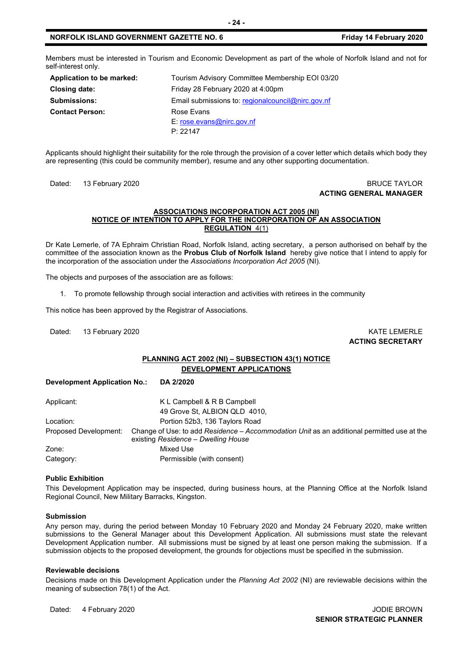#### **NORFOLK ISLAND GOVERNMENT GAZETTE NO. 6 Friday 14 February 2020**

Members must be interested in Tourism and Economic Development as part of the whole of Norfolk Island and not for self-interest only.

| Application to be marked: | Tourism Advisory Committee Membership EOI 03/20     |
|---------------------------|-----------------------------------------------------|
| <b>Closing date:</b>      | Friday 28 February 2020 at 4:00pm                   |
| <b>Submissions:</b>       | Email submissions to: regional council @nirc.gov.nf |
| <b>Contact Person:</b>    | Rose Evans                                          |
|                           | $E:$ rose.evans@nirc.gov.nf                         |
|                           | P: 22147                                            |

Applicants should highlight their suitability for the role through the provision of a cover letter which details which body they are representing (this could be community member), resume and any other supporting documentation.

Dated: 13 February 2020 **BRUCE TAYLOR** 

## **ACTING GENERAL MANAGER**

#### **ASSOCIATIONS INCORPORATION ACT 2005 (NI) NOTICE OF INTENTION TO APPLY FOR THE INCORPORATION OF AN ASSOCIATION REGULATION** 4(1)

Dr Kate Lemerle, of 7A Ephraim Christian Road, Norfolk Island, acting secretary, a person authorised on behalf by the committee of the association known as the **Probus Club of Norfolk Island** hereby give notice that I intend to apply for the incorporation of the association under the *Associations Incorporation Act 2005* (NI)*.* 

The objects and purposes of the association are as follows:

1. To promote fellowship through social interaction and activities with retirees in the community

This notice has been approved by the Registrar of Associations.

Dated: 13 February 2020 **KATE LEMERLE** 

**ACTING SECRETARY**

#### **PLANNING ACT 2002 (NI) – SUBSECTION 43(1) NOTICE DEVELOPMENT APPLICATIONS**

**Development Application No.: DA 2/2020**

| Applicant:            | K L Campbell & R B Campbell                                                                                                       |
|-----------------------|-----------------------------------------------------------------------------------------------------------------------------------|
|                       | 49 Grove St, ALBION QLD 4010,                                                                                                     |
| Location:             | Portion 52b3, 136 Taylors Road                                                                                                    |
| Proposed Development: | Change of Use: to add Residence – Accommodation Unit as an additional permitted use at the<br>existing Residence - Dwelling House |
| Zone:                 | Mixed Use                                                                                                                         |
| Category:             | Permissible (with consent)                                                                                                        |

#### **Public Exhibition**

This Development Application may be inspected, during business hours, at the Planning Office at the Norfolk Island Regional Council, New Military Barracks, Kingston.

#### **Submission**

Any person may, during the period between Monday 10 February 2020 and Monday 24 February 2020, make written submissions to the General Manager about this Development Application. All submissions must state the relevant Development Application number. All submissions must be signed by at least one person making the submission. If a submission objects to the proposed development, the grounds for objections must be specified in the submission.

#### **Reviewable decisions**

Decisions made on this Development Application under the *Planning Act 2002* (NI) are reviewable decisions within the meaning of subsection 78(1) of the Act.

Dated: 4 February 2020 **Journal Accord 2020** JODIE BROWN

**SENIOR STRATEGIC PLANNER**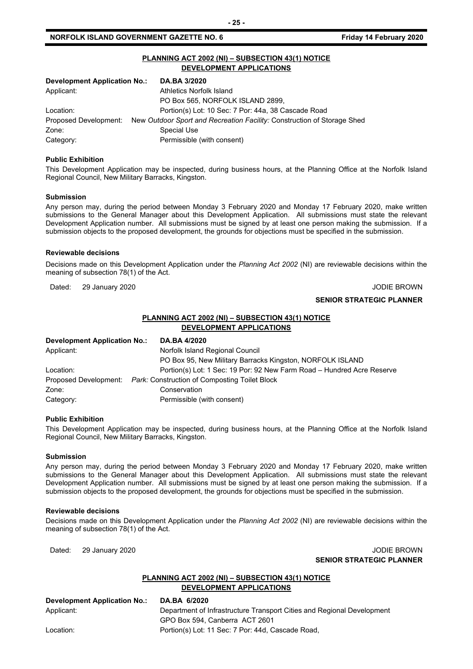#### **NORFOLK ISLAND GOVERNMENT GAZETTE NO. 6** *CONTRETE 10. 6* **Friday 14 February 2020**

| PLANNING ACT 2002 (NI) - SUBSECTION 43(1) NOTICE<br><b>DEVELOPMENT APPLICATIONS</b> |                                                                         |  |
|-------------------------------------------------------------------------------------|-------------------------------------------------------------------------|--|
| <b>Development Application No.:</b>                                                 | DA.BA 3/2020                                                            |  |
| Applicant:                                                                          | Athletics Norfolk Island                                                |  |
|                                                                                     | PO Box 565, NORFOLK ISLAND 2899,                                        |  |
| Location:                                                                           | Portion(s) Lot: 10 Sec: 7 Por: 44a, 38 Cascade Road                     |  |
| Proposed Development:                                                               | New Outdoor Sport and Recreation Facility: Construction of Storage Shed |  |
| Zone:                                                                               | Special Use                                                             |  |
| Category:                                                                           | Permissible (with consent)                                              |  |

#### **Public Exhibition**

This Development Application may be inspected, during business hours, at the Planning Office at the Norfolk Island Regional Council, New Military Barracks, Kingston.

#### **Submission**

Any person may, during the period between Monday 3 February 2020 and Monday 17 February 2020, make written submissions to the General Manager about this Development Application. All submissions must state the relevant Development Application number. All submissions must be signed by at least one person making the submission. If a submission objects to the proposed development, the grounds for objections must be specified in the submission.

#### **Reviewable decisions**

Decisions made on this Development Application under the *Planning Act 2002* (NI) are reviewable decisions within the meaning of subsection 78(1) of the Act.

Dated: 29 January 2020 **John Christian Advisor Community Community** Community Community Community Community Community Community Community Community Community Community Community Community Community Community Community Comm

#### **SENIOR STRATEGIC PLANNER**

#### **PLANNING ACT 2002 (NI) – SUBSECTION 43(1) NOTICE DEVELOPMENT APPLICATIONS**

| Development Application No.: | DA.BA 4/2020                                                           |
|------------------------------|------------------------------------------------------------------------|
| Applicant:                   | Norfolk Island Regional Council                                        |
|                              | PO Box 95, New Military Barracks Kingston, NORFOLK ISLAND              |
| Location:                    | Portion(s) Lot: 1 Sec: 19 Por: 92 New Farm Road - Hundred Acre Reserve |
|                              | Proposed Development: Park: Construction of Composting Toilet Block    |
| Zone:                        | Conservation                                                           |
| Category:                    | Permissible (with consent)                                             |

#### **Public Exhibition**

This Development Application may be inspected, during business hours, at the Planning Office at the Norfolk Island Regional Council, New Military Barracks, Kingston.

#### **Submission**

Any person may, during the period between Monday 3 February 2020 and Monday 17 February 2020, make written submissions to the General Manager about this Development Application. All submissions must state the relevant Development Application number. All submissions must be signed by at least one person making the submission. If a submission objects to the proposed development, the grounds for objections must be specified in the submission.

#### **Reviewable decisions**

Decisions made on this Development Application under the *Planning Act 2002* (NI) are reviewable decisions within the meaning of subsection 78(1) of the Act.

Dated: 29 January 2020 **John Charles Control Control Control Control Control Control Control Control Control Control Control Control Control Control Control Control Control Control Control Control Control Control Control C SENIOR STRATEGIC PLANNER** 

#### **PLANNING ACT 2002 (NI) – SUBSECTION 43(1) NOTICE DEVELOPMENT APPLICATIONS**

| Development Application No.: | DA.BA 6/2020                                                           |
|------------------------------|------------------------------------------------------------------------|
| Applicant:                   | Department of Infrastructure Transport Cities and Regional Development |
|                              | GPO Box 594, Canberra ACT 2601                                         |
| Location:                    | Portion(s) Lot: 11 Sec: 7 Por: 44d, Cascade Road,                      |

**- 25 -**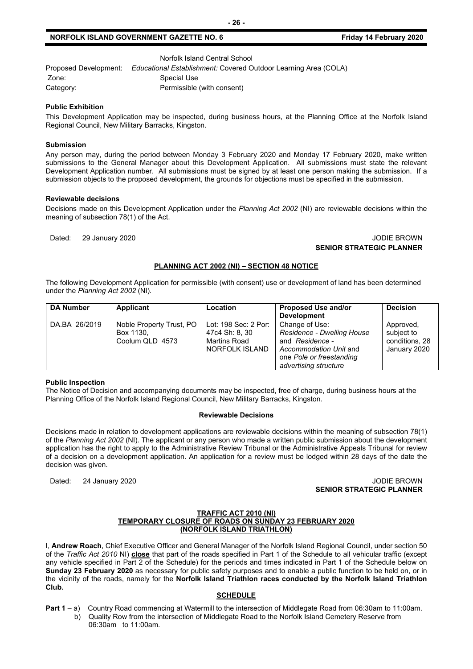#### **NORFOLK ISLAND GOVERNMENT GAZETTE NO. 6** *CONSTRUMENT GAZETTE NO. 6 Friday 14 February 2020*

Norfolk Island Central School

Proposed Development: *Educational Establishment:* Covered Outdoor Learning Area (COLA) Zone: Special Use Category: Permissible (with consent)

#### **Public Exhibition**

This Development Application may be inspected, during business hours, at the Planning Office at the Norfolk Island Regional Council, New Military Barracks, Kingston.

#### **Submission**

Any person may, during the period between Monday 3 February 2020 and Monday 17 February 2020, make written submissions to the General Manager about this Development Application. All submissions must state the relevant Development Application number. All submissions must be signed by at least one person making the submission. If a submission objects to the proposed development, the grounds for objections must be specified in the submission.

#### **Reviewable decisions**

Decisions made on this Development Application under the *Planning Act 2002* (NI) are reviewable decisions within the meaning of subsection 78(1) of the Act.

#### Dated: 29 January 2020 **John Charles Controller Studies and Studies Controller Studies and Studies and Studies A SENIOR STRATEGIC PLANNER**

#### **PLANNING ACT 2002 (NI) – SECTION 48 NOTICE**

The following Development Application for permissible (with consent) use or development of land has been determined under the *Planning Act 2002* (NI)*.*

| <b>DA Number</b> | <b>Applicant</b>                                         | Location                                                                 | <b>Proposed Use and/or</b><br><b>Development</b>                                                                                               | <b>Decision</b>                                           |
|------------------|----------------------------------------------------------|--------------------------------------------------------------------------|------------------------------------------------------------------------------------------------------------------------------------------------|-----------------------------------------------------------|
| DA.BA 26/2019    | Noble Property Trust, PO<br>Box 1130,<br>Coolum QLD 4573 | Lot: 198 Sec: 2 Por:<br>47c4 Sh: 8, 30<br>Martins Road<br>NORFOLK ISLAND | Change of Use:<br>Residence - Dwelling House<br>and Residence -<br>Accommodation Unit and<br>one Pole or freestanding<br>advertising structure | Approved,<br>subject to<br>conditions, 28<br>January 2020 |

#### **Public Inspection**

The Notice of Decision and accompanying documents may be inspected, free of charge, during business hours at the Planning Office of the Norfolk Island Regional Council, New Military Barracks, Kingston.

#### **Reviewable Decisions**

Decisions made in relation to development applications are reviewable decisions within the meaning of subsection 78(1) of the *Planning Act 2002* (NI)*.* The applicant or any person who made a written public submission about the development application has the right to apply to the Administrative Review Tribunal or the Administrative Appeals Tribunal for review of a decision on a development application. An application for a review must be lodged within 28 days of the date the decision was given.

Dated: 24 January 2020 **John Communist Communist Communist Communist Communist Communist Communist Communist Communist Communist Communist Communist Communist Communist Communist Communist Communist Communist Communist Com SENIOR STRATEGIC PLANNER**

#### **TRAFFIC ACT 2010 (NI) TEMPORARY CLOSURE OF ROADS ON SUNDAY 23 FEBRUARY 2020 (NORFOLK ISLAND TRIATHLON)**

I, **Andrew Roach**, Chief Executive Officer and General Manager of the Norfolk Island Regional Council, under section 50 of the *Traffic Act 2010* NI) **close** that part of the roads specified in Part 1 of the Schedule to all vehicular traffic (except any vehicle specified in Part 2 of the Schedule) for the periods and times indicated in Part 1 of the Schedule below on **Sunday 23 February 2020** as necessary for public safety purposes and to enable a public function to be held on, or in the vicinity of the roads, namely for the **Norfolk Island Triathlon races conducted by the Norfolk Island Triathlon Club.**

#### **SCHEDULE**

- **Part 1** a) Country Road commencing at Watermill to the intersection of Middlegate Road from 06:30am to 11:00am.
	- b) Quality Row from the intersection of Middlegate Road to the Norfolk Island Cemetery Reserve from 06:30am to 11:00am.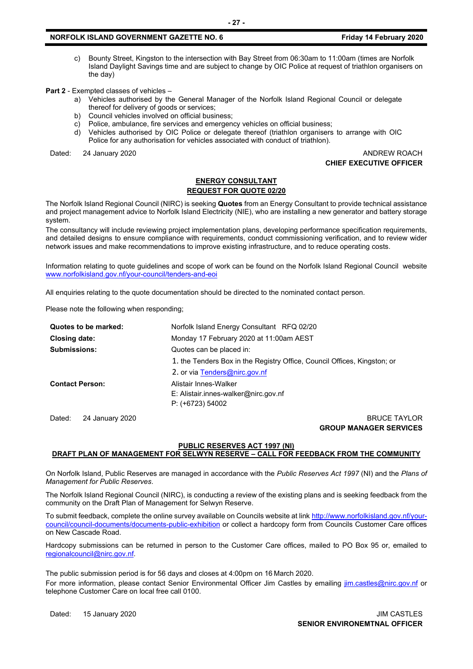#### **NORFOLK ISLAND GOVERNMENT GAZETTE NO. 6 Friday 14 February 2020**

c) Bounty Street, Kingston to the intersection with Bay Street from 06:30am to 11:00am (times are Norfolk Island Daylight Savings time and are subject to change by OIC Police at request of triathlon organisers on the day)

**Part 2** - Exempted classes of vehicles –

- a) Vehicles authorised by the General Manager of the Norfolk Island Regional Council or delegate thereof for delivery of goods or services;
- b) Council vehicles involved on official business;
- c) Police, ambulance, fire services and emergency vehicles on official business;
- d) Vehicles authorised by OIC Police or delegate thereof (triathlon organisers to arrange with OIC Police for any authorisation for vehicles associated with conduct of triathlon).

Dated: 24 January 2020 **ANDREW ROACH** 

**CHIEF EXECUTIVE OFFICER**

#### **ENERGY CONSULTANT REQUEST FOR QUOTE 02/20**

The Norfolk Island Regional Council (NIRC) is seeking **Quotes** from an Energy Consultant to provide technical assistance and project management advice to Norfolk Island Electricity (NIE), who are installing a new generator and battery storage system.

The consultancy will include reviewing project implementation plans, developing performance specification requirements, and detailed designs to ensure compliance with requirements, conduct commissioning verification, and to review wider network issues and make recommendations to improve existing infrastructure, and to reduce operating costs.

Information relating to quote guidelines and scope of work can be found on the Norfolk Island Regional Council website [www.norfolkisland.gov.nf/your-council/tenders-and-eoi](http://www.norfolkisland.gov.nf/your-council/tenders-and-eoi)

All enquiries relating to the quote documentation should be directed to the nominated contact person.

Please note the following when responding;

| Quotes to be marked:   | Norfolk Island Energy Consultant RFQ 02/20                               |
|------------------------|--------------------------------------------------------------------------|
| Closing date:          | Monday 17 February 2020 at 11:00am AEST                                  |
| <b>Submissions:</b>    | Quotes can be placed in:                                                 |
|                        | 1. the Tenders Box in the Registry Office, Council Offices, Kingston; or |
|                        | 2. or via Tenders@nirc.gov.nf                                            |
| <b>Contact Person:</b> | Alistair Innes-Walker                                                    |
|                        | E: Alistair.innes-walker@nirc.gov.nf                                     |
|                        | $P: (+6723) 54002$                                                       |
|                        |                                                                          |

Dated: 24 January 2020 **BRUCE TAYLOR GROUP MANAGER SERVICES**

#### **PUBLIC RESERVES ACT 1997 (NI)**

#### **DRAFT PLAN OF MANAGEMENT FOR SELWYN RESERVE – CALL FOR FEEDBACK FROM THE COMMUNITY**

On Norfolk Island, Public Reserves are managed in accordance with the *Public Reserves Act 1997* (NI) and the *Plans of Management for Public Reserves*.

The Norfolk Island Regional Council (NIRC), is conducting a review of the existing plans and is seeking feedback from the community on the Draft Plan of Management for Selwyn Reserve.

To submit feedback, complete the online survey available on Councils website at link [http://www.norfolkisland.gov.nf/your](http://www.norfolkisland.gov.nf/your-council/council-documents/documents-public-exhibition)[council/council-documents/documents-public-exhibition](http://www.norfolkisland.gov.nf/your-council/council-documents/documents-public-exhibition) or collect a hardcopy form from Councils Customer Care offices on New Cascade Road.

Hardcopy submissions can be returned in person to the Customer Care offices, mailed to PO Box 95 or, emailed to [regionalcouncil@nirc.gov.nf.](mailto:regionalcouncil@nirc.gov.nf)

The public submission period is for 56 days and closes at 4:00pm on 16 March 2020. For more information, please contact Senior Environmental Officer Jim Castles by emailing *jim.castles@nirc.gov.nf* or telephone Customer Care on local free call 0100.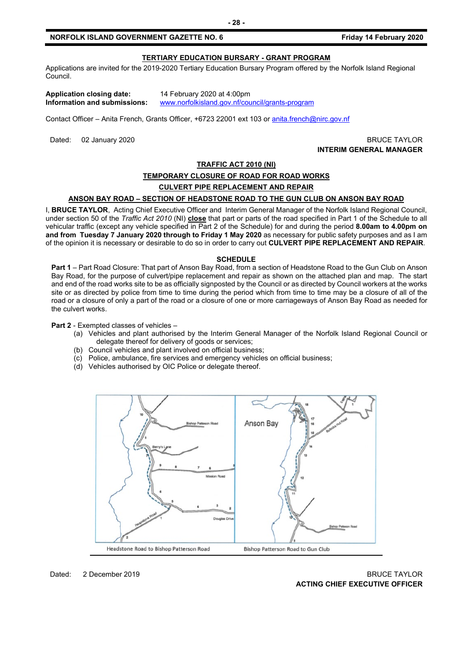#### **NORFOLK ISLAND GOVERNMENT GAZETTE NO. 6** *CONTRETE 10. 6* **Friday 14 February 2020**

#### **TERTIARY EDUCATION BURSARY - GRANT PROGRAM**

Applications are invited for the 2019-2020 Tertiary Education Bursary Program offered by the Norfolk Island Regional Council.

| Application closing date:                |
|------------------------------------------|
| Information and submissions <sup>.</sup> |

**Application closing date:** 14 February 2020 at 4:00pm **Information and submissions:** [www.norfolkisland.gov.nf/council/grants-program](http://www.norfolkisland.gov.nf/council/grants-program)

Contact Officer – Anita French, Grants Officer, +6723 22001 ext 103 o[r anita.french@nirc.gov.nf](mailto:anita.french@nirc.gov.nf)

Dated: 02 January 2020 **BRUCE TAYLOR INTERIM GENERAL MANAGER**

#### **TRAFFIC ACT 2010 (NI)**

#### **TEMPORARY CLOSURE OF ROAD FOR ROAD WORKS**

#### **CULVERT PIPE REPLACEMENT AND REPAIR**

#### **ANSON BAY ROAD – SECTION OF HEADSTONE ROAD TO THE GUN CLUB ON ANSON BAY ROAD**

I, **BRUCE TAYLOR**, Acting Chief Executive Officer and Interim General Manager of the Norfolk Island Regional Council, under section 50 of the *Traffic Act 2010* (NI) **close** that part or parts of the road specified in Part 1 of the Schedule to all vehicular traffic (except any vehicle specified in Part 2 of the Schedule) for and during the period **8.00am to 4.00pm on and from Tuesday 7 January 2020 through to Friday 1 May 2020** as necessary for public safety purposes and as I am of the opinion it is necessary or desirable to do so in order to carry out **CULVERT PIPE REPLACEMENT AND REPAIR**.

#### **SCHEDULE**

**Part 1** – Part Road Closure: That part of Anson Bay Road, from a section of Headstone Road to the Gun Club on Anson Bay Road, for the purpose of culvert/pipe replacement and repair as shown on the attached plan and map. The start and end of the road works site to be as officially signposted by the Council or as directed by Council workers at the works site or as directed by police from time to time during the period which from time to time may be a closure of all of the road or a closure of only a part of the road or a closure of one or more carriageways of Anson Bay Road as needed for the culvert works.

**Part 2** - Exempted classes of vehicles –

- (a) Vehicles and plant authorised by the Interim General Manager of the Norfolk Island Regional Council or delegate thereof for delivery of goods or services;
- (b) Council vehicles and plant involved on official business;
- (c) Police, ambulance, fire services and emergency vehicles on official business;
- (d) Vehicles authorised by OIC Police or delegate thereof.



#### Dated: 2 December 2019 BRUCE TAYLOR **ACTING CHIEF EXECUTIVE OFFICER**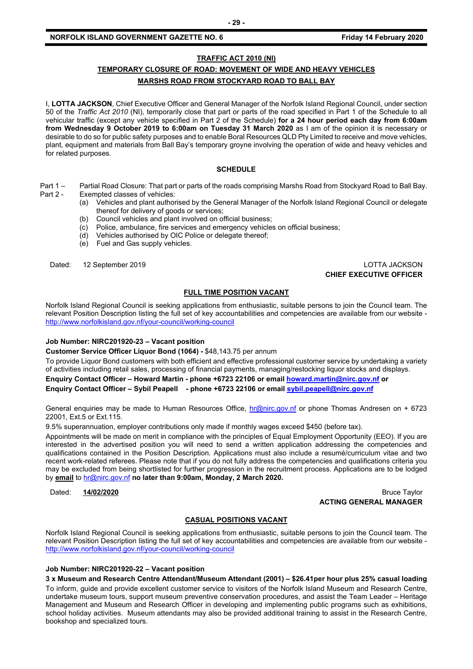#### **NORFOLK ISLAND GOVERNMENT GAZETTE NO. 6** *CONSTRUMENT GAZETTE NO. 6 Friday 14 February 2020*

#### **TRAFFIC ACT 2010 (NI)**

#### **TEMPORARY CLOSURE OF ROAD: MOVEMENT OF WIDE AND HEAVY VEHICLES MARSHS ROAD FROM STOCKYARD ROAD TO BALL BAY**

I, **LOTTA JACKSON**, Chief Executive Officer and General Manager of the Norfolk Island Regional Council, under section 50 of the *Traffic Act 2010* (NI), temporarily close that part or parts of the road specified in Part 1 of the Schedule to all vehicular traffic (except any vehicle specified in Part 2 of the Schedule) **for a 24 hour period each day from 6:00am from Wednesday 9 October 2019 to 6:00am on Tuesday 31 March 2020** as I am of the opinion it is necessary or desirable to do so for public safety purposes and to enable Boral Resources QLD Pty Limited to receive and move vehicles, plant, equipment and materials from Ball Bay's temporary groyne involving the operation of wide and heavy vehicles and for related purposes.

#### **SCHEDULE**

- Part 1 Partial Road Closure: That part or parts of the roads comprising Marshs Road from Stockyard Road to Ball Bay.<br>Part 2 Exempted classes of vehicles: Exempted classes of vehicles:
	- (a) Vehicles and plant authorised by the General Manager of the Norfolk Island Regional Council or delegate thereof for delivery of goods or services;
	- (b) Council vehicles and plant involved on official business;
	- (c) Police, ambulance, fire services and emergency vehicles on official business;
	- (d) Vehicles authorised by OIC Police or delegate thereof;
	- (e) Fuel and Gas supply vehicles.

#### Dated: 12 September 2019 LOTTA JACKSON **CHIEF EXECUTIVE OFFICER**

#### **FULL TIME POSITION VACANT**

Norfolk Island Regional Council is seeking applications from enthusiastic, suitable persons to join the Council team. The relevant Position Description listing the full set of key accountabilities and competencies are available from our website <http://www.norfolkisland.gov.nf/your-council/working-council>

#### **Job Number: NIRC201920-23 – Vacant position**

**Customer Service Officer Liquor Bond (1064) -** \$48,143.75 per annum

To provide Liquor Bond customers with both efficient and effective professional customer service by undertaking a variety of activities including retail sales, processing of financial payments, managing/restocking liquor stocks and displays.

**Enquiry Contact Officer – Howard Martin - phone +6723 22106 or email [howard.martin@nirc.gov.nf](mailto:howard.martin@nirc.gov.nf) or**

**Enquiry Contact Officer – Sybil Peapell - phone +6723 22106 or emai[l sybil.peapell@nirc.gov.nf](mailto:sybil.peapell@nirc.gov.nf)**

General enquiries may be made to Human Resources Office, [hr@nirc.gov.nf](mailto:hr@nirc.gov.nf) or phone Thomas Andresen on + 6723 22001, Ext.5 or Ext.115.

9.5% superannuation, employer contributions only made if monthly wages exceed \$450 (before tax).

Appointments will be made on merit in compliance with the principles of Equal Employment Opportunity (EEO). If you are interested in the advertised position you will need to send a written application addressing the competencies and qualifications contained in the Position Description. Applications must also include a resumé/curriculum vitae and two recent work-related referees. Please note that if you do not fully address the competencies and qualifications criteria you may be excluded from being shortlisted for further progression in the recruitment process. Applications are to be lodged by **email** to [hr@nirc.gov.nf](mailto:hr@nirc.gov.nf) **no later than 9:00am, Monday, 2 March 2020.** 

Dated: **14/02/2020** Bruce Taylor **ACTING GENERAL MANAGER**

#### **CASUAL POSITIONS VACANT**

Norfolk Island Regional Council is seeking applications from enthusiastic, suitable persons to join the Council team. The relevant Position Description listing the full set of key accountabilities and competencies are available from our website <http://www.norfolkisland.gov.nf/your-council/working-council>

#### **Job Number: NIRC201920-22 – Vacant position**

**3 x Museum and Research Centre Attendant/Museum Attendant (2001) – \$26.41per hour plus 25% casual loading** To inform, guide and provide excellent customer service to visitors of the Norfolk Island Museum and Research Centre, undertake museum tours, support museum preventive conservation procedures, and assist the Team Leader – Heritage Management and Museum and Research Officer in developing and implementing public programs such as exhibitions, school holiday activities. Museum attendants may also be provided additional training to assist in the Research Centre, bookshop and specialized tours.